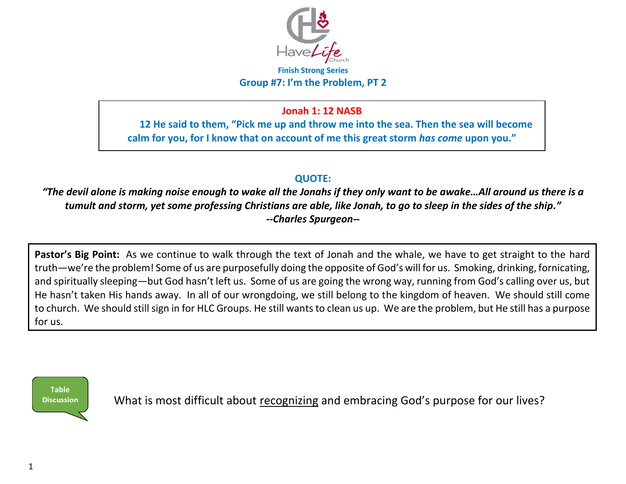

#### **Finish Strong Series Group #7: I'm the Problem, PT 2**

## **Jonah 1: 12 NASB**

**12 He said to them, "Pick me up and throw me into the sea. Then the sea will become calm for you, for I know that on account of me this great storm** *has come* **upon you."** 

## **QUOTE:**

*"The devil alone is making noise enough to wake all the Jonahs if they only want to be awake…All around us there is a tumult and storm, yet some professing Christians are able, like Jonah, to go to sleep in the sides of the ship." --Charles Spurgeon--* 

**Pastor's Big Point:** As we continue to walk through the text of Jonah and the whale, we have to get straight to the hard truth—we're the problem! Some of us are purposefully doing the opposite of God's will for us. Smoking, drinking, fornicating, and spiritually sleeping—but God hasn't left us. Some of us are going the wrong way, running from God's calling over us, but He hasn't taken His hands away. In all of our wrongdoing, we still belong to the kingdom of heaven. We should still come to church. We should still sign in for HLC Groups. He still wants to clean us up. We are the problem, but He still has a purpose for us.



What is most difficult about recognizing and embracing God's purpose for our lives?